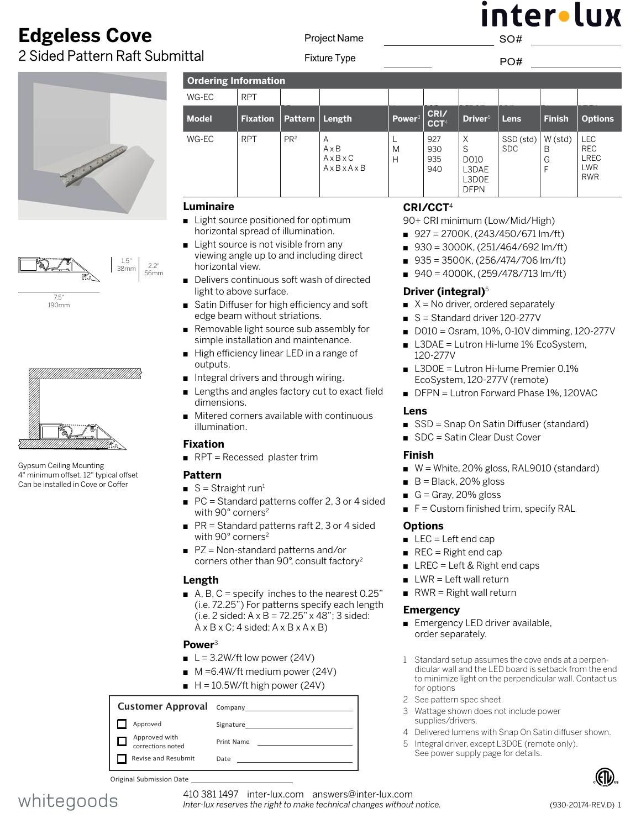### **Edgeless Cove** 2 Sided Pattern Raft Submittal

Project Name

nterolux SO#

Fixture Type **PO** #

| <b>Ordering Information</b> |                 |                 |                                                                     |  |
|-----------------------------|-----------------|-----------------|---------------------------------------------------------------------|--|
| WG-EC                       | <b>RPT</b>      |                 |                                                                     |  |
| <b>Model</b>                | <b>Fixation</b> | <b>Pattern</b>  | Length                                                              |  |
| WG-EC                       | <b>RPT</b>      | PR <sup>2</sup> | A<br>$A \times B$<br>$A \times B \times C$<br>$A \times B \times A$ |  |
| ∟uminaire                   |                 |                 |                                                                     |  |



7.5" 190mm



Gypsum Ceiling Mounting 4" minimum offset, 12" typical offset Can be installed in Cove or Coffer

| <b>Ordering Information</b> |                 |                 |                                                       |                    |                          |                                                 |                         |                       |                                                                     |
|-----------------------------|-----------------|-----------------|-------------------------------------------------------|--------------------|--------------------------|-------------------------------------------------|-------------------------|-----------------------|---------------------------------------------------------------------|
| WG-EC                       | <b>RPT</b>      |                 |                                                       |                    |                          |                                                 |                         |                       |                                                                     |
| <b>Model</b>                | <b>Fixation</b> | <b>Pattern</b>  | Length                                                | Power <sup>3</sup> | CRI/<br>CCT <sup>4</sup> | Driver <sup>5</sup>                             | Lens                    | <b>Finish</b>         | <b>Options</b>                                                      |
| WG-EC                       | <b>RPT</b>      | PR <sup>2</sup> | A<br>$A \times B$<br>$A \times B \times C$<br>AxBxAxB | M<br>Н             | 927<br>930<br>935<br>940 | X<br>S<br>D010<br>L3DAE<br>L3DOE<br><b>DFPN</b> | SSD (std)<br><b>SDC</b> | W(std)<br>B<br>G<br>F | <b>LEC</b><br><b>REC</b><br><b>LREC</b><br><b>LWR</b><br><b>RWR</b> |

#### **[Luminaire](DBF_Luminaire Title)**

- Light source positioned for optimum horizontal spread of illumination.
- Light source is not visible from any viewing angle up to and including direct horizontal view.
- Delivers continuous soft wash of directed light to above surface.
- Satin Diffuser for high efficiency and soft edge beam without striations.
- Removable light source sub assembly for simple installation and maintenance.
- High efficiency linear LED in a range of outputs.
- n Integral drivers and through wiring.
- Lengths and angles factory cut to exact field dimensions.
- $\blacksquare$  Mitered corners available with continuous illumination.

### **Fixation**

 $RPT = Recessed$  $RPT = Recessed$  $RPT = Recessed$  plaster trim

### **Pattern**

- $S =$  Straight run<sup>1</sup>
- $\blacksquare$  PC = Standard patterns coffer 2, 3 or 4 sided with 90° corners<sup>2</sup>
- $PR = Standard patterns$  raft 2, 3 or 4 sided with 90° corners<sup>2</sup>
- $PZ = Non-standard patterns and/or$ corners other than 90°, consult factory2

### **[Length](DBF_Length Title)**

A, B, C = specify inches to the nearest  $0.25$ " (i.e. 72.25") For patterns specify each length (i.e. 2 sided:  $A \times B = 72.25$ "  $\times$  48"; 3 sided:  $A \times B \times C$ ; 4 sided:  $A \times B \times A \times B$ )

### **Power**<sup>3</sup>

- $L = 3.2W/ft$  low power (24V)
- $M = 6.4W/\text{ft}$  medium power (24V)
- $H = 10.5W/ft$  high power (24V)

#### Customer Approval Company Approved Signature Approved with □ Print Name corrections noted Revise and Resubmit Date

**[CR](DBF_Color / Lumens Title)I/CCT**<sup>4</sup>

90+ CRI minimum (Low/Mid/High)

- $927 = 2700K$ , (243/450/671 lm/ft)
- $930 = 3000K$ , (251/464/692 lm/ft)
- $935 = 3500K$ , (256/474/706 lm/ft)
- $940 = 4000K$ , (259/478/713 lm/ft)

### **Driver [\(integral\)](DBF_Power Supply Title)**<sup>5</sup>

- $\blacksquare$  X = No driver, ordered separately
- $S =$  Standard driver 120-277V
- $\Box$  D010 = Osram, 10%, 0-10V dimming, 120-277V
- L3DAE = Lutron Hi-lume 1% EcoSystem, 120-277V
- L3D0E = Lutron Hi-lume Premier 0.1% EcoSystem, 120-277V (remote)
- DFPN = Lutron Forward Phase 1%, 120VAC

#### **Lens**

- SSD = Snap On Satin Diffuser (standard)
- SDC = Satin Clear Dust Cover

#### **Finish**

- $W =$  White, 20% gloss, RAL9010 (standard)
- $\blacksquare$  B = Black, 20% gloss
- G = Gray, 20% gloss
- $F =$  Custom finished trim, specify RAL

### **[Options](DBF_Options Title)**

- $LEC = Left end cap$
- $\blacksquare$  REC = Right end cap
- $\blacksquare$  LREC = Left & Right end caps
- $\blacksquare$  LWR = Left wall return
- $\blacksquare$  RWR = Right wall return

#### **Emergency**

- **Emergency LED driver available,** order separately.
- 1 Standard setup assumes the cove ends at a perpendicular wall and the LED board is setback from the end to minimize light on the perpendicular wall. Contact us for options
- 2 See pattern spec sheet.
- 3 Wattage shown does not include power supplies/drivers.
- 4 Delivered lumens with Snap On Satin diffuser shown.
- 5 Integral driver, except L3D0E (remote only). See power supply page for details.



Original Submission Date



410 381 1497 inter-lux.com answers@inter-lux.com *Inter-lux reserves the right to make technical changes without notice.*

56mm 38mm

2.2"